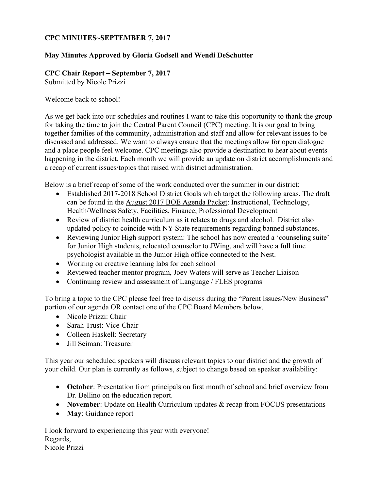### **CPC MINUTES~SEPTEMBER 7, 2017**

### **May Minutes Approved by Gloria Godsell and Wendi DeSchutter**

### **CPC Chair Report** – **September 7, 2017**

Submitted by Nicole Prizzi

#### Welcome back to school!

As we get back into our schedules and routines I want to take this opportunity to thank the group for taking the time to join the Central Parent Council (CPC) meeting. It is our goal to bring together families of the community, administration and staff and allow for relevant issues to be discussed and addressed. We want to always ensure that the meetings allow for open dialogue and a place people feel welcome. CPC meetings also provide a destination to hear about events happening in the district. Each month we will provide an update on district accomplishments and a recap of current issues/topics that raised with district administration.

Below is a brief recap of some of the work conducted over the summer in our district:

- Established 2017-2018 School District Goals which target the following areas. The draft can be found in the August 2017 BOE Agenda Packet: Instructional, Technology, Health/Wellness Safety, Facilities, Finance, Professional Development
- Review of district health curriculum as it relates to drugs and alcohol. District also updated policy to coincide with NY State requirements regarding banned substances.
- Reviewing Junior High support system: The school has now created a 'counseling suite' for Junior High students, relocated counselor to JWing, and will have a full time psychologist available in the Junior High office connected to the Nest.
- Working on creative learning labs for each school
- Reviewed teacher mentor program, Joey Waters will serve as Teacher Liaison
- Continuing review and assessment of Language / FLES programs

To bring a topic to the CPC please feel free to discuss during the "Parent Issues/New Business" portion of our agenda OR contact one of the CPC Board Members below.

- Nicole Prizzi: Chair
- Sarah Trust: Vice-Chair
- Colleen Haskell: Secretary
- Jill Seiman: Treasurer

This year our scheduled speakers will discuss relevant topics to our district and the growth of your child. Our plan is currently as follows, subject to change based on speaker availability:

- **October**: Presentation from principals on first month of school and brief overview from Dr. Bellino on the education report.
- **November**: Update on Health Curriculum updates & recap from FOCUS presentations
- **May**: Guidance report

I look forward to experiencing this year with everyone! Regards, Nicole Prizzi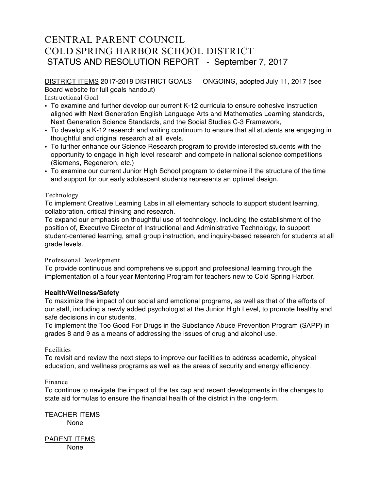# CENTRAL PARENT COUNCIL COLD SPRING HARBOR SCHOOL DISTRICT STATUS AND RESOLUTION REPORT - September 7, 2017

DISTRICT ITEMS 2017-2018 DISTRICT GOALS – ONGOING, adopted July 11, 2017 (see Board website for full goals handout)

Instructional Goal

- To examine and further develop our current K-12 curricula to ensure cohesive instruction aligned with Next Generation English Language Arts and Mathematics Learning standards, Next Generation Science Standards, and the Social Studies C-3 Framework,
- To develop a K-12 research and writing continuum to ensure that all students are engaging in thoughtful and original research at all levels.
- To further enhance our Science Research program to provide interested students with the opportunity to engage in high level research and compete in national science competitions (Siemens, Regeneron, etc.)
- To examine our current Junior High School program to determine if the structure of the time and support for our early adolescent students represents an optimal design.

#### Technology

To implement Creative Learning Labs in all elementary schools to support student learning, collaboration, critical thinking and research.

To expand our emphasis on thoughtful use of technology, including the establishment of the position of, Executive Director of Instructional and Administrative Technology, to support student-centered learning, small group instruction, and inquiry-based research for students at all grade levels.

#### Professional Development

To provide continuous and comprehensive support and professional learning through the implementation of a four year Mentoring Program for teachers new to Cold Spring Harbor.

#### **Health/Wellness/Safety**

To maximize the impact of our social and emotional programs, as well as that of the efforts of our staff, including a newly added psychologist at the Junior High Level, to promote healthy and safe decisions in our students.

To implement the Too Good For Drugs in the Substance Abuse Prevention Program (SAPP) in grades 8 and 9 as a means of addressing the issues of drug and alcohol use.

#### Facilities

To revisit and review the next steps to improve our facilities to address academic, physical education, and wellness programs as well as the areas of security and energy efficiency.

#### Finance

To continue to navigate the impact of the tax cap and recent developments in the changes to state aid formulas to ensure the financial health of the district in the long-term.

TEACHER ITEMS None

PARENT ITEMS None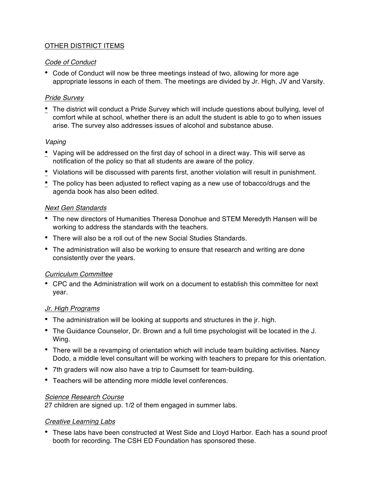### OTHER DISTRICT ITEMS

#### *Code of Conduct*

• Code of Conduct will now be three meetings instead of two, allowing for more age appropriate lessons in each of them. The meetings are divided by Jr. High, JV and Varsity.

#### *Pride Survey*

• The district will conduct a Pride Survey which will include questions about bullying, level of comfort while at school, whether there is an adult the student is able to go to when issues arise. The survey also addresses issues of alcohol and substance abuse.

#### *Vaping*

- Vaping will be addressed on the first day of school in a direct way. This will serve as notification of the policy so that all students are aware of the policy.
- Violations will be discussed with parents first, another violation will result in punishment.
- The policy has been adjusted to reflect vaping as a new use of tobacco/drugs and the agenda book has also been edited.

#### *Next Gen Standards*

- The new directors of Humanities Theresa Donohue and STEM Meredyth Hansen will be working to address the standards with the teachers.
- There will also be a roll out of the new Social Studies Standards.
- The administration will also be working to ensure that research and writing are done consistently over the years.

### *Curriculum Committee*

• CPC and the Administration will work on a document to establish this committee for next year.

### *Jr. High Programs*

- The administration will be looking at supports and structures in the jr. high.
- The Guidance Counselor, Dr. Brown and a full time psychologist will be located in the J. Wing.
- There will be a revamping of orientation which will include team building activities. Nancy Dodo, a middle level consultant will be working with teachers to prepare for this orientation.
- 7th graders will now also have a trip to Caumsett for team-building.
- Teachers will be attending more middle level conferences.

#### *Science Research Course*

27 children are signed up. 1/2 of them engaged in summer labs.

#### *Creative Learning Labs*

• These labs have been constructed at West Side and Lloyd Harbor. Each has a sound proof booth for recording. The CSH ED Foundation has sponsored these.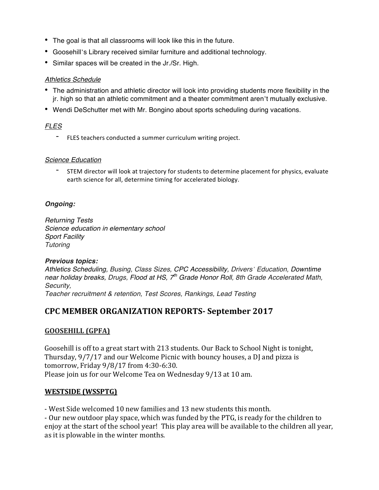- The goal is that all classrooms will look like this in the future.
- Goosehill's Library received similar furniture and additional technology.
- Similar spaces will be created in the Jr./Sr. High.

#### *Athletics Schedule*

- The administration and athletic director will look into providing students more flexibility in the jr. high so that an athletic commitment and a theater commitment aren't mutually exclusive.
- Wendi DeSchutter met with Mr. Bongino about sports scheduling during vacations.

## *FLES*

- FLES teachers conducted a summer curriculum writing project.

#### *Science Education*

- STEM director will look at trajectory for students to determine placement for physics, evaluate earth science for all, determine timing for accelerated biology.

### *Ongoing:*

*Returning Tests Science education in elementary school Sport Facility Tutoring*

#### *Previous topics:*

*Athletics Scheduling, Busing, Class Sizes, CPC Accessibility, Drivers' Education, Downtime near holiday breaks, Drugs, Flood at HS, 7th Grade Honor Roll, 8th Grade Accelerated Math, Security,*

*Teacher recruitment & retention, Test Scores, Rankings, Lead Testing*

# **CPC MEMBER ORGANIZATION REPORTS- September 2017**

### **GOOSEHILL (GPFA)**

Goosehill is off to a great start with 213 students. Our Back to School Night is tonight, Thursday, 9/7/17 and our Welcome Picnic with bouncy houses, a DJ and pizza is tomorrow, Friday 9/8/17 from 4:30-6:30. Please join us for our Welcome Tea on Wednesday 9/13 at 10 am.

### **WESTSIDE (WSSPTG)**

- West Side welcomed 10 new families and 13 new students this month.

- Our new outdoor play space, which was funded by the PTG, is ready for the children to enjoy at the start of the school year! This play area will be available to the children all year, as it is plowable in the winter months.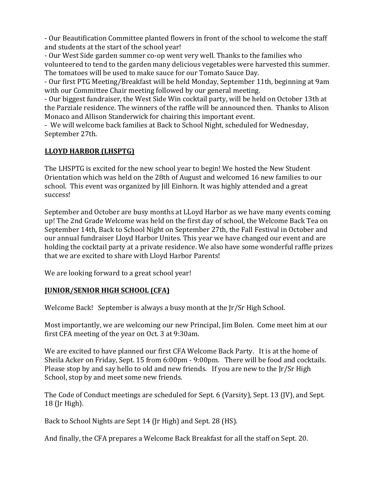- Our Beautification Committee planted flowers in front of the school to welcome the staff and students at the start of the school year!

- Our West Side garden summer co-op went very well. Thanks to the families who volunteered to tend to the garden many delicious vegetables were harvested this summer. The tomatoes will be used to make sauce for our Tomato Sauce Day.

- Our first PTG Meeting/Breakfast will be held Monday, September 11th, beginning at 9am with our Committee Chair meeting followed by our general meeting.

- Our biggest fundraiser, the West Side Win cocktail party, will be held on October 13th at the Parziale residence. The winners of the raffle will be announced then. Thanks to Alison Monaco and Allison Standerwick for chairing this important event.

- We will welcome back families at Back to School Night, scheduled for Wednesday, September 27th.

## **LLOYD HARBOR (LHSPTG)**

The LHSPTG is excited for the new school year to begin! We hosted the New Student Orientation which was held on the 28th of August and welcomed 16 new families to our school. This event was organized by Jill Einhorn. It was highly attended and a great success!

September and October are busy months at LLoyd Harbor as we have many events coming up! The 2nd Grade Welcome was held on the first day of school, the Welcome Back Tea on September 14th, Back to School Night on September 27th, the Fall Festival in October and our annual fundraiser Lloyd Harbor Unites. This year we have changed our event and are holding the cocktail party at a private residence. We also have some wonderful raffle prizes that we are excited to share with Lloyd Harbor Parents!

We are looking forward to a great school year!

### **JUNIOR/SENIOR HIGH SCHOOL (CFA)**

Welcome Back! September is always a busy month at the  $\lfloor r / \text{Sr High School.} \rfloor$ 

Most importantly, we are welcoming our new Principal, Jim Bolen. Come meet him at our first CFA meeting of the year on Oct. 3 at 9:30am.

We are excited to have planned our first CFA Welcome Back Party. It is at the home of Sheila Acker on Friday, Sept. 15 from 6:00pm - 9:00pm. There will be food and cocktails. Please stop by and say hello to old and new friends. If you are new to the  $\Gamma/$ Sr High School, stop by and meet some new friends.

The Code of Conduct meetings are scheduled for Sept. 6 (Varsity), Sept. 13 (JV), and Sept. 18 (Jr High).

Back to School Nights are Sept 14 (Jr High) and Sept. 28 (HS).

And finally, the CFA prepares a Welcome Back Breakfast for all the staff on Sept. 20.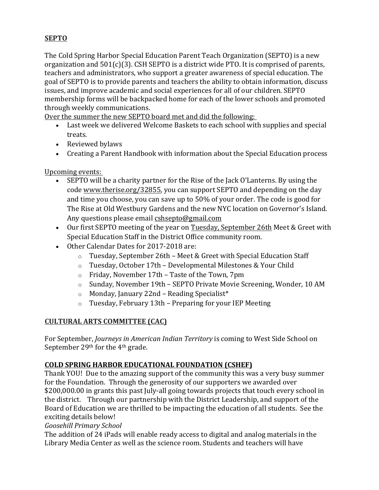# **SEPTO**

The Cold Spring Harbor Special Education Parent Teach Organization (SEPTO) is a new organization and  $501(c)(3)$ . CSH SEPTO is a district wide PTO. It is comprised of parents, teachers and administrators, who support a greater awareness of special education. The goal of SEPTO is to provide parents and teachers the ability to obtain information, discuss issues, and improve academic and social experiences for all of our children. SEPTO membership forms will be backpacked home for each of the lower schools and promoted through weekly communications.

Over the summer the new SEPTO board met and did the following:

- Last week we delivered Welcome Baskets to each school with supplies and special treats.
- Reviewed bylaws
- Creating a Parent Handbook with information about the Special Education process

## Upcoming events:

- SEPTO will be a charity partner for the Rise of the Jack O'Lanterns. By using the code www.therise.org/32855, you can support SEPTO and depending on the day and time you choose, you can save up to 50% of your order. The code is good for The Rise at Old Westbury Gardens and the new NYC location on Governor's Island. Any questions please email cshsepto@gmail.com
- Our first SEPTO meeting of the year on Tuesday, September 26th Meet & Greet with Special Education Staff in the District Office community room.
- Other Calendar Dates for 2017-2018 are:
	- $\circ$  Tuesday, September 26th Meet & Greet with Special Education Staff
	- o Tuesday, October 17th Developmental Milestones & Your Child
	- o Friday, November 17th Taste of the Town, 7pm
	- o Sunday, November 19th SEPTO Private Movie Screening, Wonder, 10 AM
	- $\circ$  Monday, January 22nd Reading Specialist\*
	- o Tuesday, February 13th Preparing for your IEP Meeting

## **CULTURAL ARTS COMMITTEE (CAC)**

For September, *Journeys in American Indian Territory* is coming to West Side School on September 29th for the 4th grade.

### **COLD SPRING HARBOR EDUCATIONAL FOUNDATION (CSHEF)**

Thank YOU! Due to the amazing support of the community this was a very busy summer for the Foundation. Through the generosity of our supporters we awarded over \$200,000.00 in grants this past July-all going towards projects that touch every school in the district. Through our partnership with the District Leadership, and support of the Board of Education we are thrilled to be impacting the education of all students. See the exciting details below!

### *Goosehill Primary School*

The addition of 24 iPads will enable ready access to digital and analog materials in the Library Media Center as well as the science room. Students and teachers will have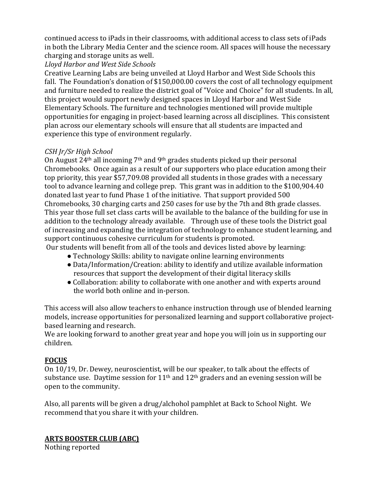continued access to iPads in their classrooms, with additional access to class sets of iPads in both the Library Media Center and the science room. All spaces will house the necessary charging and storage units as well.

*Lloyd Harbor and West Side Schools*

Creative Learning Labs are being unveiled at Lloyd Harbor and West Side Schools this fall. The Foundation's donation of  $$150,000.00$  covers the cost of all technology equipment and furniture needed to realize the district goal of "Voice and Choice" for all students. In all, this project would support newly designed spaces in Lloyd Harbor and West Side Elementary Schools. The furniture and technologies mentioned will provide multiple opportunities for engaging in project-based learning across all disciplines. This consistent plan across our elementary schools will ensure that all students are impacted and experience this type of environment regularly.

## *CSH Jr/Sr High School*

On August 24th all incoming 7th and 9th grades students picked up their personal Chromebooks. Once again as a result of our supporters who place education among their top priority, this year \$57,709.08 provided all students in those grades with a necessary tool to advance learning and college prep. This grant was in addition to the \$100,904.40 donated last year to fund Phase 1 of the initiative. That support provided 500 Chromebooks, 30 charging carts and 250 cases for use by the 7th and 8th grade classes. This year those full set class carts will be available to the balance of the building for use in addition to the technology already available. Through use of these tools the District goal of increasing and expanding the integration of technology to enhance student learning, and support continuous cohesive curriculum for students is promoted.

Our students will benefit from all of the tools and devices listed above by learning:

- Technology Skills: ability to navigate online learning environments
- Data/Information/Creation: ability to identify and utilize available information resources that support the development of their digital literacy skills
- Collaboration: ability to collaborate with one another and with experts around the world both online and in-person.

This access will also allow teachers to enhance instruction through use of blended learning models, increase opportunities for personalized learning and support collaborative projectbased learning and research.

We are looking forward to another great year and hope you will join us in supporting our children.

# **FOCUS**

On 10/19, Dr. Dewey, neuroscientist, will be our speaker, to talk about the effects of substance use. Daytime session for  $11<sup>th</sup>$  and  $12<sup>th</sup>$  graders and an evening session will be open to the community.

Also, all parents will be given a drug/alchohol pamphlet at Back to School Night. We recommend that you share it with your children.

**ARTS BOOSTER CLUB (ABC)**

Nothing reported